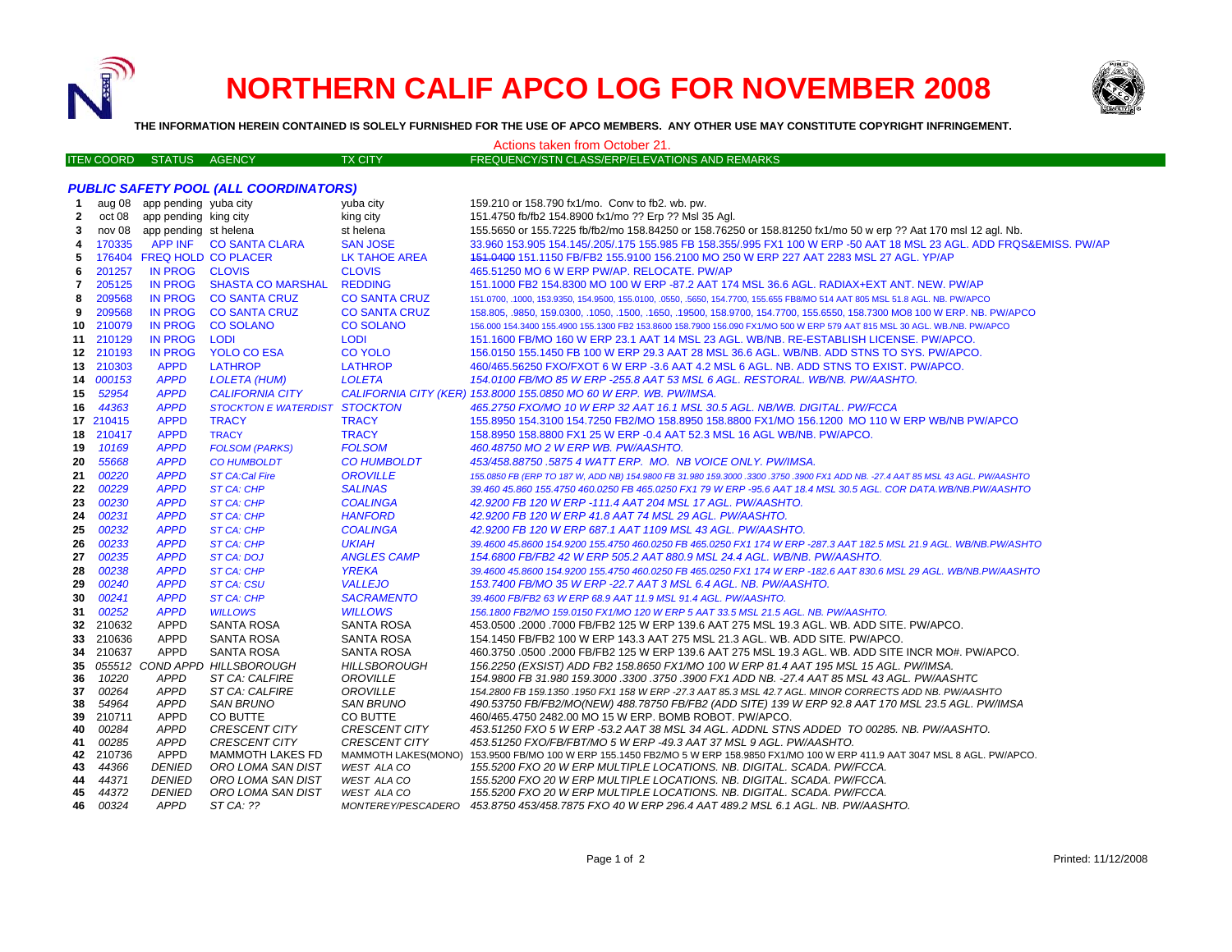

# **NORTHERN CALIF APCO LOG FOR NOVEMBER 2008**



**THE INFORMATION HEREIN CONTAINED IS SOLELY FURNISHED FOR THE USE OF APCO MEMBERS. ANY OTHER USE MAY CONSTITUTE COPYRIGHT INFRINGEMENT.**

| Actions taken from October 21.               |                   |                              |                                       |                      |                                                                                                                                                                                                             |
|----------------------------------------------|-------------------|------------------------------|---------------------------------------|----------------------|-------------------------------------------------------------------------------------------------------------------------------------------------------------------------------------------------------------|
|                                              | <b>ITEN COORD</b> | <b>STATUS</b>                | AGENCY                                | <b>TX CITY</b>       | FREQUENCY/STN CLASS/ERP/ELEVATIONS AND REMARKS                                                                                                                                                              |
|                                              |                   |                              |                                       |                      |                                                                                                                                                                                                             |
| <b>PUBLIC SAFETY POOL (ALL COORDINATORS)</b> |                   |                              |                                       |                      |                                                                                                                                                                                                             |
| -1                                           |                   | aug 08 app pending yuba city |                                       | yuba city            | 159.210 or 158.790 fx1/mo. Conv to fb2. wb. pw.                                                                                                                                                             |
| $\mathbf{2}$                                 |                   | oct 08 app pending king city |                                       | king city            | 151.4750 fb/fb2 154.8900 fx1/mo ?? Erp ?? Msl 35 Agl.                                                                                                                                                       |
| 3                                            |                   | nov 08 app pending st helena |                                       | st helena            | 155.5650 or 155.7225 fb/fb2/mo 158.84250 or 158.76250 or 158.81250 fx1/mo 50 w erp ?? Aat 170 msl 12 agl. Nb.                                                                                               |
| 4                                            | 170335            |                              | APP INF CO SANTA CLARA                | <b>SAN JOSE</b>      | 33.960 153.905 154.145/.205/.175 155.985 FB 158.355/.995 FX1 100 W ERP -50 AAT 18 MSL 23 AGL. ADD FRQS&EMISS. PW/AP                                                                                         |
| 5                                            | 176404            |                              | <b>FREQ HOLD CO PLACER</b>            | <b>LK TAHOE AREA</b> | 151.0400 151.1150 FB/FB2 155.9100 156.2100 MO 250 W ERP 227 AAT 2283 MSL 27 AGL. YP/AP                                                                                                                      |
| 6                                            | 201257            | IN PROG CLOVIS               |                                       | <b>CLOVIS</b>        | 465.51250 MO 6 W ERP PW/AP. RELOCATE. PW/AP                                                                                                                                                                 |
| 7                                            | 205125            | <b>IN PROG</b>               | <b>SHASTA CO MARSHAL</b>              | <b>REDDING</b>       | 151.1000 FB2 154.8300 MO 100 W ERP -87.2 AAT 174 MSL 36.6 AGL. RADIAX+EXT ANT. NEW. PW/AP                                                                                                                   |
| 8                                            | 209568            | <b>IN PROG</b>               | <b>CO SANTA CRUZ</b>                  | <b>CO SANTA CRUZ</b> | 151.0700, .1000, 153.9350, 154.9500, 155.0100, .0550, .5650, 154.7700, 155.655 FB8/MO 514 AAT 805 MSL 51.8 AGL. NB. PW/APCO                                                                                 |
| 9                                            | 209568            | <b>IN PROG</b>               | <b>CO SANTA CRUZ</b>                  | <b>CO SANTA CRUZ</b> | 158.805, .9850, 159.0300, .1050, .1500, .1650, .19500, 158.9700, 154.7700, 155.6550, 158.7300 MO8 100 W ERP. NB. PW/APCO                                                                                    |
| 10                                           | 210079            | <b>IN PROG</b>               | <b>CO SOLANO</b>                      | <b>CO SOLANO</b>     | 156.000 154.3400 155.4900 155.1300 FB2 153.8600 158.7900 156.090 FX1/MO 500 W ERP 579 AAT 815 MSL 30 AGL. WB./NB. PW/APCO                                                                                   |
| 11                                           | 210129            | <b>IN PROG</b>               | <b>LODI</b>                           | <b>LODI</b>          | 151.1600 FB/MO 160 W ERP 23.1 AAT 14 MSL 23 AGL. WB/NB. RE-ESTABLISH LICENSE. PW/APCO.                                                                                                                      |
|                                              | 12 210193         | <b>IN PROG</b>               | <b>YOLO CO ESA</b>                    | <b>CO YOLO</b>       | 156.0150 155.1450 FB 100 W ERP 29.3 AAT 28 MSL 36.6 AGL. WB/NB. ADD STNS TO SYS. PW/APCO.                                                                                                                   |
| 13                                           | 210303            | <b>APPD</b>                  | <b>LATHROP</b>                        | <b>LATHROP</b>       | 460/465.56250 FXO/FXOT 6 W ERP -3.6 AAT 4.2 MSL 6 AGL. NB. ADD STNS TO EXIST. PW/APCO.                                                                                                                      |
| 14                                           | 000153            | <b>APPD</b>                  | <b>LOLETA (HUM)</b>                   | <b>LOLETA</b>        | 154.0100 FB/MO 85 W ERP -255.8 AAT 53 MSL 6 AGL. RESTORAL. WB/NB. PW/AASHTO.                                                                                                                                |
| 15                                           | 52954             | <b>APPD</b>                  | <b>CALIFORNIA CITY</b>                |                      | CALIFORNIA CITY (KER) 153.8000 155.0850 MO 60 W ERP. WB. PW/IMSA.                                                                                                                                           |
| 16                                           | 44363             | <b>APPD</b>                  | STOCKTON E WATERDIST STOCKTON         |                      | 465.2750 FXO/MO 10 W ERP 32 AAT 16.1 MSL 30.5 AGL. NB/WB. DIGITAL. PW/FCCA                                                                                                                                  |
|                                              | 17 210415         | <b>APPD</b>                  | <b>TRACY</b>                          | <b>TRACY</b>         | 155.8950 154.3100 154.7250 FB2/MO 158.8950 158.8800 FX1/MO 156.1200 MO 110 W ERP WB/NB PW/APCO                                                                                                              |
|                                              | 18 210417         | <b>APPD</b>                  | <b>TRACY</b>                          | <b>TRACY</b>         | 158.8950 158.8800 FX1 25 W ERP -0.4 AAT 52.3 MSL 16 AGL WB/NB. PW/APCO.                                                                                                                                     |
| 19                                           | 10169             | <b>APPD</b>                  | <b>FOLSOM (PARKS)</b>                 | <b>FOLSOM</b>        | 460.48750 MO 2 W ERP WB. PW/AASHTO.                                                                                                                                                                         |
| 20                                           | 55668             | <b>APPD</b>                  | <b>CO HUMBOLDT</b>                    | <b>CO HUMBOLDT</b>   | 453/458.88750 .5875 4 WATT ERP. MO. NB VOICE ONLY. PW/IMSA.                                                                                                                                                 |
| 21                                           | 00220             | <b>APPD</b>                  | <b>ST CA:Cal Fire</b>                 | <b>OROVILLE</b>      | 155.0850 FB (ERP TO 187 W, ADD NB) 154.9800 FB 31.980 159.3000 .3300 .3750 .3900 FX1 ADD NB. -27.4 AAT 85 MSL 43 AGL. PW/AASHTO                                                                             |
| 22                                           | 00229             | <b>APPD</b>                  | <b>ST CA: CHP</b>                     | <b>SALINAS</b>       | 39.460 45.860 155.4750 460.0250 FB 465.0250 FX1 79 W ERP -95.6 AAT 18.4 MSL 30.5 AGL. COR DATA.WB/NB.PW/AASHTO                                                                                              |
| 23                                           | 00230             | <b>APPD</b>                  | <b>ST CA: CHP</b>                     | <b>COALINGA</b>      | 42.9200 FB 120 W ERP -111.4 AAT 204 MSL 17 AGL. PW/AASHTO.                                                                                                                                                  |
| 24                                           | 00231             | <b>APPD</b>                  | <b>ST CA: CHP</b>                     | <b>HANFORD</b>       | 42.9200 FB 120 W ERP 41.8 AAT 74 MSL 29 AGL. PW/AASHTO.                                                                                                                                                     |
| 25                                           | 00232             | <b>APPD</b>                  | <b>ST CA: CHP</b>                     | <b>COALINGA</b>      | 42.9200 FB 120 W ERP 687.1 AAT 1109 MSL 43 AGL. PW/AASHTO.                                                                                                                                                  |
| 26                                           | 00233             | <b>APPD</b>                  | ST CA: CHP                            | <b>UKIAH</b>         | 39.4600 45.8600 154.9200 155.4750 460.0250 FB 465.0250 FX1 174 W ERP -287.3 AAT 182.5 MSL 21.9 AGL. WB/NB.PW/ASHTO                                                                                          |
| 27                                           | 00235             | <b>APPD</b>                  | <b>ST CA: DOJ</b>                     | <b>ANGLES CAMP</b>   | 154.6800 FB/FB2 42 W ERP 505.2 AAT 880.9 MSL 24.4 AGL. WB/NB. PW/AASHTO.                                                                                                                                    |
| 28                                           | 00238             | <b>APPD</b>                  | <b>ST CA: CHP</b>                     | <b>YREKA</b>         | 39.4600 45.8600 154.9200 155.4750 460.0250 FB 465.0250 FX1 174 W ERP -182.6 AAT 830.6 MSL 29 AGL. WB/NB.PW/AASHTO                                                                                           |
| 29                                           | 00240             | <b>APPD</b>                  | <b>ST CA: CSU</b>                     | <b>VALLEJO</b>       | 153.7400 FB/MO 35 W ERP -22.7 AAT 3 MSL 6.4 AGL. NB. PW/AASHTO.                                                                                                                                             |
| 30                                           | 00241             | <b>APPD</b>                  | <b>ST CA: CHP</b>                     | <b>SACRAMENTO</b>    | 39.4600 FB/FB2 63 W ERP 68.9 AAT 11.9 MSL 91.4 AGL. PW/AASHTO.                                                                                                                                              |
| 31                                           | 00252             | <b>APPD</b>                  | <b>WILLOWS</b>                        | <b>WILLOWS</b>       | 156.1800 FB2/MO 159.0150 FX1/MO 120 W ERP 5 AAT 33.5 MSL 21.5 AGL. NB. PW/AASHTO.                                                                                                                           |
| 32 <sub>2</sub>                              | 210632            | <b>APPD</b>                  | <b>SANTA ROSA</b>                     | SANTA ROSA           | 453.0500 .2000 .7000 FB/FB2 125 W ERP 139.6 AAT 275 MSL 19.3 AGL. WB. ADD SITE. PW/APCO.                                                                                                                    |
| 33                                           | 210636            | <b>APPD</b>                  | <b>SANTA ROSA</b>                     | <b>SANTA ROSA</b>    | 154.1450 FB/FB2 100 W ERP 143.3 AAT 275 MSL 21.3 AGL. WB. ADD SITE. PW/APCO.                                                                                                                                |
| 34                                           | 210637            | <b>APPD</b>                  | SANTA ROSA                            | SANTA ROSA           | 460.3750 .0500 .2000 FB/FB2 125 W ERP 139.6 AAT 275 MSL 19.3 AGL. WB. ADD SITE INCR MO#. PW/APCO.                                                                                                           |
| 35                                           | 055512            |                              | COND APPD HILLSBOROUGH                | <b>HILLSBOROUGH</b>  | 156.2250 (EXSIST) ADD FB2 158.8650 FX1/MO 100 W ERP 81.4 AAT 195 MSL 15 AGL. PW/IMSA.                                                                                                                       |
| 36                                           | 10220             | <b>APPD</b>                  | ST CA: CALFIRE                        | <b>OROVILLE</b>      | 154.9800 FB 31.980 159.3000 .3300 .3750 .3900 FX1 ADD NB. -27.4 AAT 85 MSL 43 AGL. PW/AASHTC                                                                                                                |
| 37                                           | 00264             | <b>APPD</b>                  | ST CA: CALFIRE                        | <b>OROVILLE</b>      | 154.2800 FB 159.1350 .1950 FX1 158 W ERP -27.3 AAT 85.3 MSL 42.7 AGL. MINOR CORRECTS ADD NB. PW/AASHTO                                                                                                      |
| 38                                           | 54964             | <b>APPD</b>                  | <b>SAN BRUNO</b>                      | <b>SAN BRUNO</b>     | 490.53750 FB/FB2/MO(NEW) 488.78750 FB/FB2 (ADD SITE) 139 W ERP 92.8 AAT 170 MSL 23.5 AGL. PW/IMSA                                                                                                           |
| 39                                           | 210711            | APPD                         | CO BUTTE                              | CO BUTTE             | 460/465.4750 2482.00 MO 15 W ERP. BOMB ROBOT. PW/APCO.                                                                                                                                                      |
| 40                                           | 00284             | <b>APPD</b>                  | <b>CRESCENT CITY</b>                  | <b>CRESCENT CITY</b> | 453.51250 FXO 5 W ERP -53.2 AAT 38 MSL 34 AGL. ADDNL STNS ADDED TO 00285. NB. PW/AASHTO.                                                                                                                    |
| 41                                           | 00285<br>210736   | <b>APPD</b>                  | <b>CRESCENT CITY</b>                  | <b>CRESCENT CITY</b> | 453.51250 FXO/FB/FBT/MO 5 W ERP -49.3 AAT 37 MSL 9 AGL. PW/AASHTO.                                                                                                                                          |
| 42<br>43                                     | 44366             | APPD<br><b>DENIED</b>        | MAMMOTH LAKES FD<br>ORO LOMA SAN DIST | <b>WEST ALA CO</b>   | MAMMOTH LAKES(MONO) 153.9500 FB/MO 100 W ERP 155.1450 FB2/MO 5 W ERP 158.9850 FX1/MO 100 W ERP 411.9 AAT 3047 MSL 8 AGL. PW/APCO.<br>155.5200 FXO 20 W ERP MULTIPLE LOCATIONS. NB. DIGITAL. SCADA. PW/FCCA. |
| 44                                           | 44371             | DENIED                       | ORO LOMA SAN DIST                     | <b>WEST ALA CO</b>   | 155.5200 FXO 20 W ERP MULTIPLE LOCATIONS. NB. DIGITAL. SCADA. PW/FCCA.                                                                                                                                      |
| 45                                           | 44372             | <b>DENIED</b>                | ORO LOMA SAN DIST                     | <b>WEST ALA CO</b>   | 155.5200 FXO 20 W ERP MULTIPLE LOCATIONS. NB. DIGITAL. SCADA. PW/FCCA.                                                                                                                                      |
| 46                                           | 00324             | APPD                         | ST CA: ??                             | MONTEREY/PESCADERO   | 453.8750 453/458.7875 FXO 40 W ERP 296.4 AAT 489.2 MSL 6.1 AGL. NB. PW/AASHTO.                                                                                                                              |